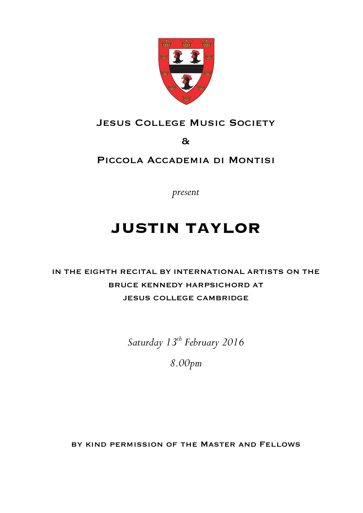

### JESUS COLLEGE MUSIC SOCIETY

&

### Piccola Accademia di Montisi

*present*

# **JUSTIN TAYLOR**

# IN THE EIGHTH RECITAL BY INTERNATIONAL ARTISTS ON THE BRUCE KENNEDY HARPSICHORD AT JESUS COLLEGE CAMBRIDGE

*Saturday 13th February 2016*

*8.00pm*

by kind permission of the Master and Fellows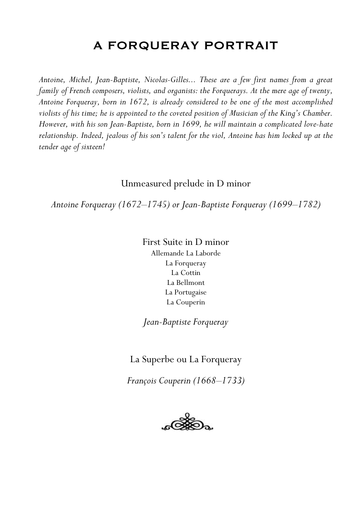# A FORQUERAY PORTRAIT

*Antoine, Michel, Jean-Baptiste, Nicolas-Gilles... These are a few first names from a great family of French composers, violists, and organists: the Forquerays. At the mere age of twenty, Antoine Forqueray, born in 1672, is already considered to be one of the most accomplished violists of his time; he is appointed to the coveted position of Musician of the King's Chamber. However, with his son Jean-Baptiste, born in 1699, he will maintain a complicated love-hate relationship. Indeed, jealous of his son's talent for the viol, Antoine has him locked up at the tender age of sixteen!*

#### Unmeasured prelude in D minor

*Antoine Forqueray (1672–1745) or Jean-Baptiste Forqueray (1699–1782)*

First Suite in D minor Allemande La Laborde La Forqueray La Cottin La Bellmont La Portugaise La Couperin

*Jean-Baptiste Forqueray*

La Superbe ou La Forqueray

*François Couperin (1668–1733)*

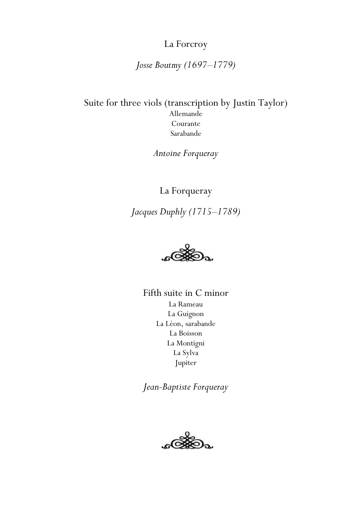### La Forcroy

### *Josse Boutmy (1697–1779)*

Suite for three viols (transcription by Justin Taylor) Allemande Courante Sarabande

*Antoine Forqueray*

La Forqueray

*Jacques Duphly (1715–1789)*



Fifth suite in C minor La Rameau La Guignon La Léon, sarabande La Boisson La Montigni La Sylva Jupiter

*Jean-Baptiste Forqueray*

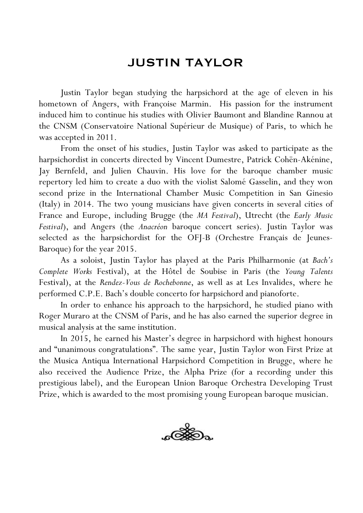# JUSTIN TAYLOR

Justin Taylor began studying the harpsichord at the age of eleven in his hometown of Angers, with Françoise Marmin. His passion for the instrument induced him to continue his studies with Olivier Baumont and Blandine Rannou at the CNSM (Conservatoire National Supérieur de Musique) of Paris, to which he was accepted in 2011.

From the onset of his studies, Justin Taylor was asked to participate as the harpsichordist in concerts directed by Vincent Dumestre, Patrick Cohën-Akénine, Jay Bernfeld, and Julien Chauvin. His love for the baroque chamber music repertory led him to create a duo with the violist Salomé Gasselin, and they won second prize in the International Chamber Music Competition in San Ginesio (Italy) in 2014. The two young musicians have given concerts in several cities of France and Europe, including Brugge (the *MA Festival*), Utrecht (the *Early Music Festival*), and Angers (the *Anacréon* baroque concert series). Justin Taylor was selected as the harpsichordist for the OFJ-B (Orchestre Français de Jeunes-Baroque) for the year 2015.

As a soloist, Justin Taylor has played at the Paris Philharmonie (at *Bach's Complete Works* Festival), at the Hôtel de Soubise in Paris (the *Young Talents* Festival), at the *Rendez-Vous de Rochebonne*, as well as at Les Invalides, where he performed C.P.E. Bach's double concerto for harpsichord and pianoforte.

In order to enhance his approach to the harpsichord, he studied piano with Roger Muraro at the CNSM of Paris, and he has also earned the superior degree in musical analysis at the same institution.

In 2015, he earned his Master's degree in harpsichord with highest honours and "unanimous congratulations". The same year, Justin Taylor won First Prize at the Musica Antiqua International Harpsichord Competition in Brugge, where he also received the Audience Prize, the Alpha Prize (for a recording under this prestigious label), and the European Union Baroque Orchestra Developing Trust Prize, which is awarded to the most promising young European baroque musician.

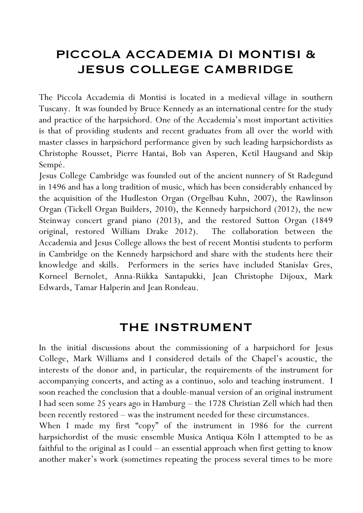# PICCOLA ACCADEMIA DI MONTISI & JESUS COLLEGE CAMBRIDGE

The Piccola Accademia di Montisi is located in a medieval village in southern Tuscany. It was founded by Bruce Kennedy as an international centre for the study and practice of the harpsichord. One of the Accademia's most important activities is that of providing students and recent graduates from all over the world with master classes in harpsichord performance given by such leading harpsichordists as Christophe Rousset, Pierre Hantai, Bob van Asperen, Ketil Haugsand and Skip Sempé.

Jesus College Cambridge was founded out of the ancient nunnery of St Radegund in 1496 and has a long tradition of music, which has been considerably enhanced by the acquisition of the Hudleston Organ (Orgelbau Kuhn, 2007), the Rawlinson Organ (Tickell Organ Builders, 2010), the Kennedy harpsichord (2012), the new Steinway concert grand piano (2013), and the restored Sutton Organ (1849 original, restored William Drake 2012). The collaboration between the Accademia and Jesus College allows the best of recent Montisi students to perform in Cambridge on the Kennedy harpsichord and share with the students here their knowledge and skills. Performers in the series have included Stanislav Gres, Korneel Bernolet, Anna-Riikka Santapukki, Jean Christophe Dijoux, Mark Edwards, Tamar Halperin and Jean Rondeau.

## THE INSTRUMENT

In the initial discussions about the commissioning of a harpsichord for Jesus College, Mark Williams and I considered details of the Chapel's acoustic, the interests of the donor and, in particular, the requirements of the instrument for accompanying concerts, and acting as a continuo, solo and teaching instrument. I soon reached the conclusion that a double-manual version of an original instrument I had seen some 25 years ago in Hamburg – the 1728 Christian Zell which had then been recently restored – was the instrument needed for these circumstances.

When I made my first "copy" of the instrument in 1986 for the current harpsichordist of the music ensemble Musica Antiqua Köln I attempted to be as faithful to the original as I could – an essential approach when first getting to know another maker's work (sometimes repeating the process several times to be more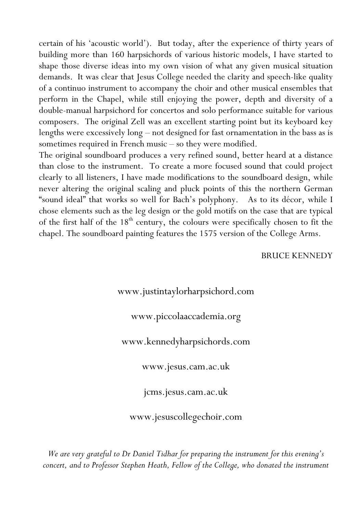certain of his 'acoustic world'). But today, after the experience of thirty years of building more than 160 harpsichords of various historic models, I have started to shape those diverse ideas into my own vision of what any given musical situation demands. It was clear that Jesus College needed the clarity and speech-like quality of a continuo instrument to accompany the choir and other musical ensembles that perform in the Chapel, while still enjoying the power, depth and diversity of a double-manual harpsichord for concertos and solo performance suitable for various composers. The original Zell was an excellent starting point but its keyboard key lengths were excessively long – not designed for fast ornamentation in the bass as is sometimes required in French music – so they were modified.

The original soundboard produces a very refined sound, better heard at a distance than close to the instrument. To create a more focused sound that could project clearly to all listeners, I have made modifications to the soundboard design, while never altering the original scaling and pluck points of this the northern German "sound ideal" that works so well for Bach's polyphony. As to its décor, while I chose elements such as the leg design or the gold motifs on the case that are typical of the first half of the 18<sup>th</sup> century, the colours were specifically chosen to fit the chapel. The soundboard painting features the 1575 version of the College Arms.

#### BRUCE KENNEDY

#### www.justintaylorharpsichord.com

#### www.piccolaaccademia.org

www.kennedyharpsichords.com

www.jesus.cam.ac.uk

jcms.jesus.cam.ac.uk

www.jesuscollegechoir.com

*We are very grateful to Dr Daniel Tidhar for preparing the instrument for this evening's concert, and to Professor Stephen Heath, Fellow of the College, who donated the instrument*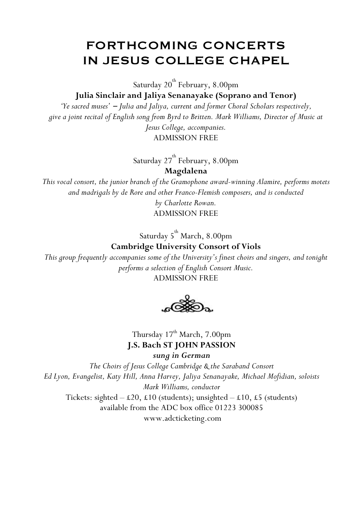# FORTHCOMING CONCERTS IN JESUS COLLEGE CHAPEL

Saturday  $20^{\rm th}$  February,  $8.00$ pm

**Julia Sinclair and Jaliya Senanayake (Soprano and Tenor)**

*'Ye sacred muses'* − *Julia and Jaliya, current and former Choral Scholars respectively, give a joint recital of English song from Byrd to Britten. Mark Williams, Director of Music at Jesus College, accompanies.*

ADMISSION FREE

Saturday 2 $7^{\rm th}$  February, 8.00pm

**Magdalena**

*This vocal consort, the junior branch of the Gramophone award-winning Alamire, performs motets and madrigals by de Rore and other Franco-Flemish composers, and is conducted* 

> *by Charlotte Rowan.* ADMISSION FREE

Saturday 5<sup>th</sup> March, 8.00pm

**Cambridge University Consort of Viols**

*This group frequently accompanies some of the University's finest choirs and singers, and tonight performs a selection of English Consort Music.* ADMISSION FREE

Thursday 17<sup>th</sup> March, 7.00pm **J.S. Bach ST JOHN PASSION** *sung in German*

*The Choirs of Jesus College Cambridge & the Saraband Consort Ed Lyon, Evangelist, Katy Hill, Anna Harvey, Jaliya Senanayake, Michael Mofidian, soloists Mark Williams, conductor* Tickets: sighted  $-\text{\pounds}20$ ,  $\text{\pounds}10$  (students); unsighted  $-\text{\pounds}10$ ,  $\text{\pounds}5$  (students) available from the ADC box office 01223 300085 www.adcticketing.com